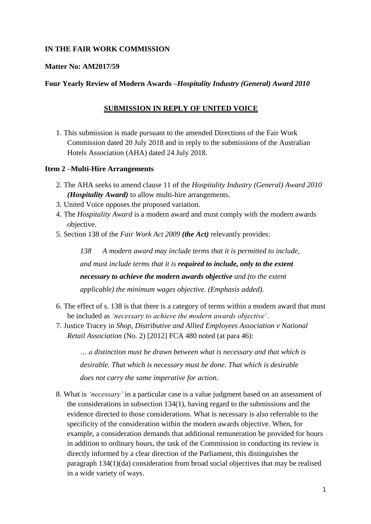# **IN THE FAIR WORK COMMISSION**

### **Matter No: AM2017/59**

# **Four Yearly Review of Modern Awards –***Hospitality Industry (General) Award 2010*

# **SUBMISSION IN REPLY OF UNITED VOICE**

1. This submission is made pursuant to the amended Directions of the Fair Work Commission dated 20 July 2018 and in reply to the submissions of the Australian Hotels Association (AHA) dated 24 July 2018.

### **Item 2 –Multi-Hire Arrangements**

- 2. The AHA seeks to amend clause 11 of the *Hospitality Industry (General) Award 2010 (Hospitality Award)* to allow multi-hire arrangements.
- 3. United Voice opposes the proposed variation.
- 4. The *Hospitality Award* is a modern award and must comply with the modern awards objective.
- 5. Section 138 of the *Fair Work Act 2009 (the Act)* relevantly provides:

*138 A modern award may include terms that it is permitted to include, and must include terms that it is required to include, only to the extent necessary to achieve the modern awards objective and (to the extent applicable) the minimum wages objective. (Emphasis added).*

- 6. The effect of s. 138 is that there is a category of terms within a modern award that must be included as *'necessary to achieve the modern awards objective'*.
- 7. Justice Tracey in *Shop, Distributive and Allied Employees Association v National Retail Association* (No. 2) [2012] FCA 480 noted (at para 46):

*… a distinction must be drawn between what is necessary and that which is desirable. That which is necessary must be done. That which is desirable does not carry the same imperative for action.*

8. What is *'necessary'* in a particular case is a value judgment based on an assessment of the considerations in subsection 134(1), having regard to the submissions and the evidence directed to those considerations. What is necessary is also referrable to the specificity of the consideration within the modern awards objective. When, for example, a consideration demands that additional remuneration be provided for hours in addition to ordinary hours, the task of the Commission in conducting its review is directly informed by a clear direction of the Parliament, this distinguishes the paragraph 134(1)(da) consideration from broad social objectives that may be realised in a wide variety of ways.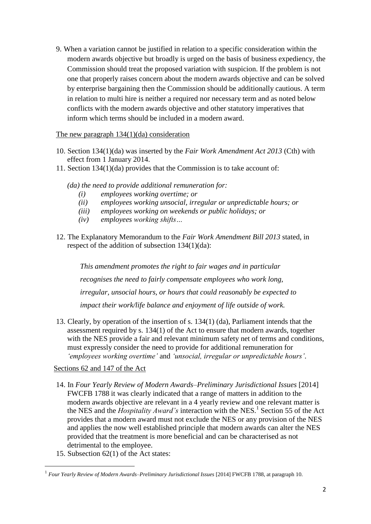9. When a variation cannot be justified in relation to a specific consideration within the modern awards objective but broadly is urged on the basis of business expediency, the Commission should treat the proposed variation with suspicion. If the problem is not one that properly raises concern about the modern awards objective and can be solved by enterprise bargaining then the Commission should be additionally cautious. A term in relation to multi hire is neither a required nor necessary term and as noted below conflicts with the modern awards objective and other statutory imperatives that inform which terms should be included in a modern award.

### The new paragraph 134(1)(da) consideration

- 10. Section 134(1)(da) was inserted by the *Fair Work Amendment Act 2013* (Cth) with effect from 1 January 2014.
- 11. Section 134(1)(da) provides that the Commission is to take account of:
	- *(da) the need to provide additional remuneration for:*
		- *(i) employees working overtime; or*
		- *(ii) employees working unsocial, irregular or unpredictable hours; or*
		- *(iii) employees working on weekends or public holidays; or*
		- *(iv) employees working shifts…*
- 12. The Explanatory Memorandum to the *Fair Work Amendment Bill 2013* stated, in respect of the addition of subsection 134(1)(da):

*This amendment promotes the right to fair wages and in particular recognises the need to fairly compensate employees who work long, irregular, unsocial hours, or hours that could reasonably be expected to impact their work/life balance and enjoyment of life outside of work.*

13. Clearly, by operation of the insertion of s. 134(1) (da), Parliament intends that the assessment required by s. 134(1) of the Act to ensure that modern awards, together with the NES provide a fair and relevant minimum safety net of terms and conditions, must expressly consider the need to provide for additional remuneration for *'employees working overtime'* and *'unsocial, irregular or unpredictable hours'*.

# Sections 62 and 147 of the Act

- 14. In *Four Yearly Review of Modern Awards–Preliminary Jurisdictional Issues* [2014] FWCFB 1788 it was clearly indicated that a range of matters in addition to the modern awards objective are relevant in a 4 yearly review and one relevant matter is the NES and the *Hospitality Award's* interaction with the NES.<sup>1</sup> Section 55 of the Act provides that a modern award must not exclude the NES or any provision of the NES and applies the now well established principle that modern awards can alter the NES provided that the treatment is more beneficial and can be characterised as not detrimental to the employee.
- 15. Subsection 62(1) of the Act states:

**.** 

<sup>1</sup> *Four Yearly Review of Modern Awards–Preliminary Jurisdictional Issues* [2014] FWCFB 1788, at paragraph 10.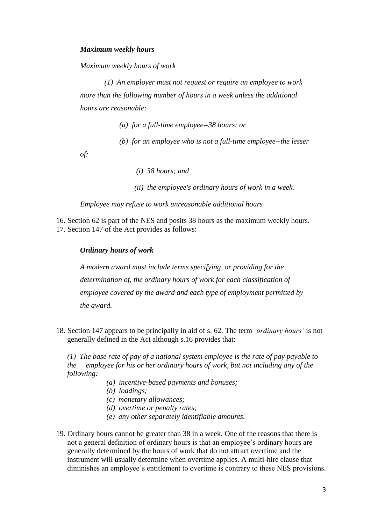#### *Maximum weekly hours*

*Maximum weekly hours of work* 

 *(1) An employer must not request or require an employee to work more than the following number of hours in a week unless the additional hours are reasonable:* 

 *(a) for a full-time employee--38 hours; or* 

 *(b) for an employee who is not a full-time employee--the lesser* 

*of:* 

 *(i) 38 hours; and* 

 *(ii) the employee's ordinary hours of work in a week.* 

*Employee may refuse to work unreasonable additional hours* 

16. Section 62 is part of the NES and posits 38 hours as the maximum weekly hours. 17. Section 147 of the Act provides as follows:

#### *Ordinary hours of work*

*A modern award must include terms specifying, or providing for the determination of, the ordinary hours of work for each classification of employee covered by the award and each type of employment permitted by the award.*

18. Section 147 appears to be principally in aid of s. 62. The term *'ordinary hours'* is not generally defined in the Act although s.16 provides that:

*(1) The base rate of pay of a national system employee is the rate of pay payable to the employee for his or her ordinary hours of work, but not including any of the following:* 

- *(a) incentive-based payments and bonuses;*
- *(b) loadings;*
- *(c) monetary allowances;*
- *(d) overtime or penalty rates;*
- *(e) any other separately identifiable amounts.*
- 19. Ordinary hours cannot be greater than 38 in a week. One of the reasons that there is not a general definition of ordinary hours is that an employee's ordinary hours are generally determined by the hours of work that do not attract overtime and the instrument will usually determine when overtime applies. A multi-hire clause that diminishes an employee's entitlement to overtime is contrary to these NES provisions.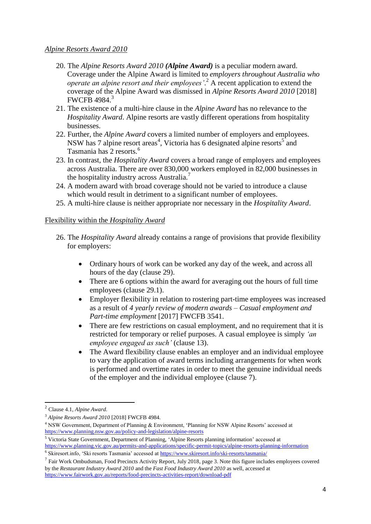#### *Alpine Resorts Award 2010*

- 20. The *Alpine Resorts Award 2010 (Alpine Award)* is a peculiar modern award. Coverage under the Alpine Award is limited to *employers throughout Australia who operate an alpine resort and their employees'*. <sup>2</sup> A recent application to extend the coverage of the Alpine Award was dismissed in *Alpine Resorts Award 2010* [2018] FWCFB 4984. 3
- 21. The existence of a multi-hire clause in the *Alpine Award* has no relevance to the *Hospitality Award*. Alpine resorts are vastly different operations from hospitality businesses.
- 22. Further, the *Alpine Award* covers a limited number of employers and employees. NSW has 7 alpine resort areas<sup>4</sup>, Victoria has 6 designated alpine resorts<sup>5</sup> and Tasmania has 2 resorts.<sup>6</sup>
- 23. In contrast, the *Hospitality Award* covers a broad range of employers and employees across Australia. There are over 830,000 workers employed in 82,000 businesses in the hospitality industry across Australia.<sup>7</sup>
- 24. A modern award with broad coverage should not be varied to introduce a clause which would result in detriment to a significant number of employees.
- 25. A multi-hire clause is neither appropriate nor necessary in the *Hospitality Award*.

# Flexibility within the *Hospitality Award*

- 26. The *Hospitality Award* already contains a range of provisions that provide flexibility for employers:
	- Ordinary hours of work can be worked any day of the week, and across all hours of the day (clause 29).
	- There are 6 options within the award for averaging out the hours of full time employees (clause 29.1).
	- Employer flexibility in relation to rostering part-time employees was increased as a result of *4 yearly review of modern awards – Casual employment and Part-time employment* [2017] FWCFB 3541.
	- There are few restrictions on casual employment, and no requirement that it is restricted for temporary or relief purposes. A casual employee is simply *'an employee engaged as such'* (clause 13).
	- The Award flexibility clause enables an employer and an individual employee to vary the application of award terms including arrangements for when work is performed and overtime rates in order to meet the genuine individual needs of the employer and the individual employee (clause 7).

**.** 

<sup>2</sup> Clause 4.1, *Alpine Award*.

<sup>3</sup> *Alpine Resorts Award 2010* [2018] FWCFB 4984.

<sup>4</sup> NSW Government, Department of Planning & Environment, 'Planning for NSW Alpine Resorts' accessed at <https://www.planning.nsw.gov.au/policy-and-legislation/alpine-resorts>

<sup>5</sup> Victoria State Government, Department of Planning, 'Alpine Resorts planning information' accessed at <https://www.planning.vic.gov.au/permits-and-applications/specific-permit-topics/alpine-resorts-planning-information>

<sup>&</sup>lt;sup>6</sup> Skiresort.info, 'Ski resorts Tasmania' accessed at<https://www.skiresort.info/ski-resorts/tasmania/>

 $<sup>7</sup>$  Fair Work Ombudsman, Food Precincts Activity Report, July 2018, page 3. Note this figure includes employees covered</sup> by the *Restaurant Industry Award 2010* and the *Fast Food Industry Award 2010* as well, accessed at <https://www.fairwork.gov.au/reports/food-precincts-activities-report/download-pdf>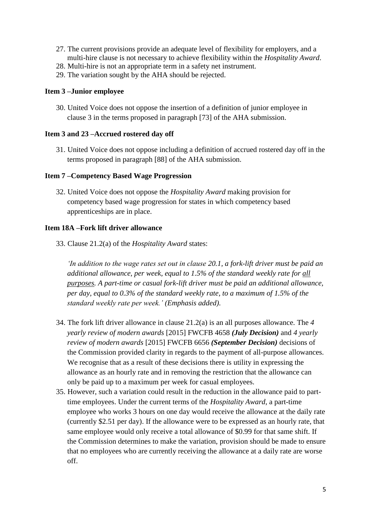- 27. The current provisions provide an adequate level of flexibility for employers, and a multi-hire clause is not necessary to achieve flexibility within the *Hospitality Award*.
- 28. Multi-hire is not an appropriate term in a safety net instrument.
- 29. The variation sought by the AHA should be rejected.

### **Item 3 –Junior employee**

30. United Voice does not oppose the insertion of a definition of junior employee in clause 3 in the terms proposed in paragraph [73] of the AHA submission.

### **Item 3 and 23 –Accrued rostered day off**

31. United Voice does not oppose including a definition of accrued rostered day off in the terms proposed in paragraph [88] of the AHA submission.

#### **Item 7 –Competency Based Wage Progression**

32. United Voice does not oppose the *Hospitality Award* making provision for competency based wage progression for states in which competency based apprenticeships are in place.

# **Item 18A –Fork lift driver allowance**

33. Clause 21.2(a) of the *Hospitality Award* states:

*'In addition to the wage rates set out in clause [20.1,](https://www.fwc.gov.au/documents/documents/modern_awards/award/ma000009/ma000009-24.htm#P411_43852) a fork-lift driver must be paid an additional allowance, per week, equal to 1.5% of the [standard weekly rate](https://www.fwc.gov.au/documents/documents/modern_awards/award/ma000009/ma000009-04.htm#P161_11705) for all purposes. A part-time or casual fork-lift driver must be paid an additional allowance, per day, equal to 0.3% of the standard weekly rate, to a maximum of 1.5% of the standard weekly rate per week.' (Emphasis added).* 

- 34. The fork lift driver allowance in clause 21.2(a) is an all purposes allowance. The *4 yearly review of modern awards* [2015] FWCFB 4658 *(July Decision)* and *4 yearly review of modern awards* [2015] FWCFB 6656 *(September Decision)* decisions of the Commission provided clarity in regards to the payment of all-purpose allowances. We recognise that as a result of these decisions there is utility in expressing the allowance as an hourly rate and in removing the restriction that the allowance can only be paid up to a maximum per week for casual employees.
- 35. However, such a variation could result in the reduction in the allowance paid to parttime employees. Under the current terms of the *Hospitality Award*, a part-time employee who works 3 hours on one day would receive the allowance at the daily rate (currently \$2.51 per day). If the allowance were to be expressed as an hourly rate, that same employee would only receive a total allowance of \$0.99 for that same shift. If the Commission determines to make the variation, provision should be made to ensure that no employees who are currently receiving the allowance at a daily rate are worse off.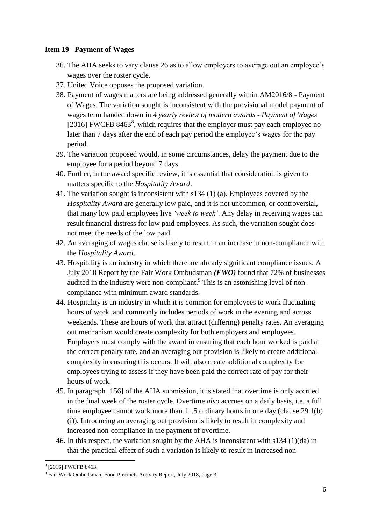### **Item 19 –Payment of Wages**

- 36. The AHA seeks to vary clause 26 as to allow employers to average out an employee's wages over the roster cycle.
- 37. United Voice opposes the proposed variation.
- 38. Payment of wages matters are being addressed generally within AM2016/8 Payment of Wages. The variation sought is inconsistent with the provisional model payment of wages term handed down in *4 yearly review of modern awards - Payment of Wages*  [2016] FWCFB 8463<sup>8</sup>, which requires that the employer must pay each employee no later than 7 days after the end of each pay period the employee's wages for the pay period.
- 39. The variation proposed would, in some circumstances, delay the payment due to the employee for a period beyond 7 days.
- 40. Further, in the award specific review, it is essential that consideration is given to matters specific to the *Hospitality Award*.
- 41. The variation sought is inconsistent with s134 (1) (a). Employees covered by the *Hospitality Award* are generally low paid, and it is not uncommon, or controversial, that many low paid employees live *'week to week'*. Any delay in receiving wages can result financial distress for low paid employees. As such, the variation sought does not meet the needs of the low paid.
- 42. An averaging of wages clause is likely to result in an increase in non-compliance with the *Hospitality Award*.
- 43. Hospitality is an industry in which there are already significant compliance issues. A July 2018 Report by the Fair Work Ombudsman *(FWO)* found that 72% of businesses audited in the industry were non-compliant. $<sup>9</sup>$  This is an astonishing level of non-</sup> compliance with minimum award standards.
- 44. Hospitality is an industry in which it is common for employees to work fluctuating hours of work, and commonly includes periods of work in the evening and across weekends. These are hours of work that attract (differing) penalty rates. An averaging out mechanism would create complexity for both employers and employees. Employers must comply with the award in ensuring that each hour worked is paid at the correct penalty rate, and an averaging out provision is likely to create additional complexity in ensuring this occurs. It will also create additional complexity for employees trying to assess if they have been paid the correct rate of pay for their hours of work.
- 45. In paragraph [156] of the AHA submission, it is stated that overtime is only accrued in the final week of the roster cycle. Overtime *also* accrues on a daily basis, i.e. a full time employee cannot work more than 11.5 ordinary hours in one day (clause 29.1(b) (i)). Introducing an averaging out provision is likely to result in complexity and increased non-compliance in the payment of overtime.
- 46. In this respect, the variation sought by the AHA is inconsistent with s134 (1)(da) in that the practical effect of such a variation is likely to result in increased non-

<sup>8&</sup>lt;br><sup>8</sup> [2016] FWCFB 8463.

<sup>&</sup>lt;sup>9</sup> Fair Work Ombudsman, Food Precincts Activity Report, July 2018, page 3.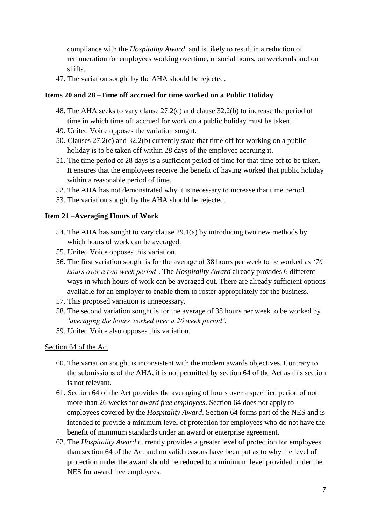compliance with the *Hospitality Award*, and is likely to result in a reduction of remuneration for employees working overtime, unsocial hours, on weekends and on shifts.

47. The variation sought by the AHA should be rejected.

# **Items 20 and 28 –Time off accrued for time worked on a Public Holiday**

- 48. The AHA seeks to vary clause 27.2(c) and clause 32.2(b) to increase the period of time in which time off accrued for work on a public holiday must be taken.
- 49. United Voice opposes the variation sought.
- 50. Clauses 27.2(c) and 32.2(b) currently state that time off for working on a public holiday is to be taken off within 28 days of the employee accruing it.
- 51. The time period of 28 days is a sufficient period of time for that time off to be taken. It ensures that the employees receive the benefit of having worked that public holiday within a reasonable period of time.
- 52. The AHA has not demonstrated why it is necessary to increase that time period.
- 53. The variation sought by the AHA should be rejected.

# **Item 21 –Averaging Hours of Work**

- 54. The AHA has sought to vary clause 29.1(a) by introducing two new methods by which hours of work can be averaged.
- 55. United Voice opposes this variation.
- 56. The first variation sought is for the average of 38 hours per week to be worked as *'76 hours over a two week period'*. The *Hospitality Award* already provides 6 different ways in which hours of work can be averaged out. There are already sufficient options available for an employer to enable them to roster appropriately for the business.
- 57. This proposed variation is unnecessary.
- 58. The second variation sought is for the average of 38 hours per week to be worked by *'averaging the hours worked over a 26 week period'*.
- 59. United Voice also opposes this variation.

#### Section 64 of the Act

- 60. The variation sought is inconsistent with the modern awards objectives. Contrary to the submissions of the AHA, it is not permitted by section 64 of the Act as this section is not relevant.
- 61. Section 64 of the Act provides the averaging of hours over a specified period of not more than 26 weeks for *award free employees*. Section 64 does not apply to employees covered by the *Hospitality Award*. Section 64 forms part of the NES and is intended to provide a minimum level of protection for employees who do not have the benefit of minimum standards under an award or enterprise agreement.
- 62. The *Hospitality Award* currently provides a greater level of protection for employees than section 64 of the Act and no valid reasons have been put as to why the level of protection under the award should be reduced to a minimum level provided under the NES for award free employees.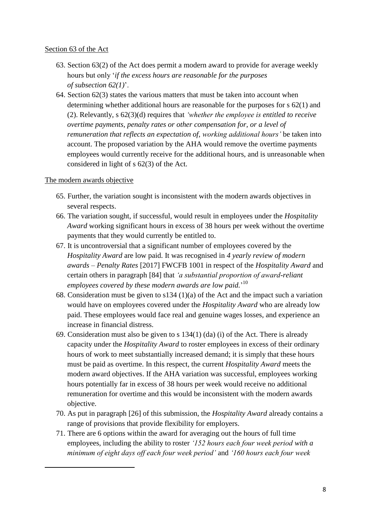### Section 63 of the Act

- 63. Section 63(2) of the Act does permit a modern award to provide for average weekly hours but only '*if the excess hours are reasonable for the purposes of [subsection](http://www.austlii.edu.au/cgi-bin/viewdoc/au/legis/cth/consol_act/fwa2009114/s26.html#subsection) 62(1)*'.
- 64. Section 62(3) states the various matters that must be taken into account when determining whether additional hours are reasonable for the purposes for s 62(1) and (2). Relevantly, s 62(3)(d) requires that *'whether the employee is entitled to receive overtime payments, [penalty](http://www.austlii.edu.au/cgi-bin/viewdoc/au/legis/cth/consol_act/fwa2009114/s536d.html#penalty) rates or other compensation for, or a level of remuneration that reflects an expectation of, working additional hours'* be taken into account. The proposed variation by the AHA would remove the overtime payments employees would currently receive for the additional hours, and is unreasonable when considered in light of s 62(3) of the Act.

# The modern awards objective

1

- 65. Further, the variation sought is inconsistent with the modern awards objectives in several respects.
- 66. The variation sought, if successful, would result in employees under the *Hospitality Award* working significant hours in excess of 38 hours per week without the overtime payments that they would currently be entitled to.
- 67. It is uncontroversial that a significant number of employees covered by the *Hospitality Award* are low paid. It was recognised in *4 yearly review of modern awards – Penalty Rates* [2017] FWCFB 1001 in respect of the *Hospitality Award* and certain others in paragraph [84] that *'a substantial proportion of award-reliant employees covered by these modern awards are low paid.*' 10
- 68. Consideration must be given to s134 (1)(a) of the Act and the impact such a variation would have on employees covered under the *Hospitality Award* who are already low paid. These employees would face real and genuine wages losses, and experience an increase in financial distress.
- 69. Consideration must also be given to s 134(1) (da) (i) of the Act. There is already capacity under the *Hospitality Award* to roster employees in excess of their ordinary hours of work to meet substantially increased demand; it is simply that these hours must be paid as overtime. In this respect, the current *Hospitality Award* meets the modern award objectives. If the AHA variation was successful, employees working hours potentially far in excess of 38 hours per week would receive no additional remuneration for overtime and this would be inconsistent with the modern awards objective.
- 70. As put in paragraph [26] of this submission, the *Hospitality Award* already contains a range of provisions that provide flexibility for employers.
- 71. There are 6 options within the award for averaging out the hours of full time employees, including the ability to roster *'152 hours each four week period with a minimum of eight days off each four week period'* and *'160 hours each four week*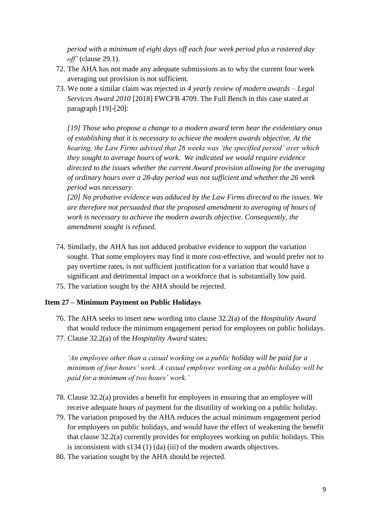*period with a minimum of eight days off each four week period plus a rostered day off'* (clause 29.1).

- 72. The AHA has not made any adequate submissions as to why the current four week averaging out provision is not sufficient.
- 73. We note a similar claim was rejected in *4 yearly review of modern awards – Legal Services Award 2010* [2018] FWCFB 4709. The Full Bench in this case stated at paragraph [19]-[20]:

*[19] Those who propose a change to a modern award term bear the evidentiary onus of establishing that it is necessary to achieve the modern awards objective. At the hearing, the Law Firms advised that 26 weeks was 'the specified period' over which they sought to average hours of work. We indicated we would require evidence directed to the issues whether the current Award provision allowing for the averaging of ordinary hours over a 28-day period was not sufficient and whether the 26 week period was necessary.*

*[20] No probative evidence was adduced by the Law Firms directed to the issues. We are therefore not persuaded that the proposed amendment to averaging of hours of work is necessary to achieve the modern awards objective. Consequently, the amendment sought is refused.*

- 74. Similarly, the AHA has not adduced probative evidence to support the variation sought. That some employers may find it more cost-effective, and would prefer not to pay overtime rates, is not sufficient justification for a variation that would have a significant and detrimental impact on a workforce that is substantially low paid.
- 75. The variation sought by the AHA should be rejected.

#### **Item 27 – Minimum Payment on Public Holidays**

- 76. The AHA seeks to insert new wording into clause 32.2(a) of the *Hospitality Award* that would reduce the minimum engagement period for employees on public holidays.
- 77. Clause 32.2(a) of the *Hospitality Award* states:

*'An employee other than a casual working on a public holiday will be paid for a minimum of four hours' work. A casual employee working on a public holiday will be paid for a minimum of two hours' work.'*

- 78. Clause 32.2(a) provides a benefit for employees in ensuring that an employee will receive adequate hours of payment for the disutility of working on a public holiday.
- 79. The variation proposed by the AHA reduces the actual minimum engagement period for employees on public holidays, and would have the effect of weakening the benefit that clause 32.2(a) currently provides for employees working on public holidays. This is inconsistent with s134 (1) (da) (iii) of the modern awards objectives.
- 80. The variation sought by the AHA should be rejected.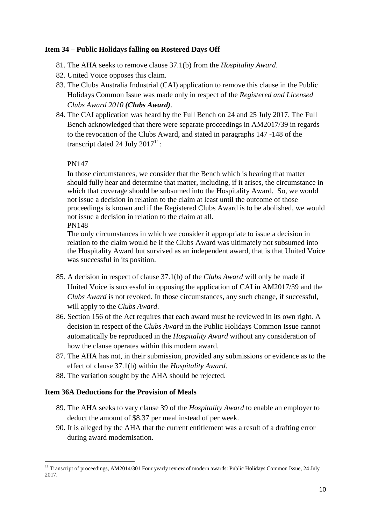### **Item 34 – Public Holidays falling on Rostered Days Off**

- 81. The AHA seeks to remove clause 37.1(b) from the *Hospitality Award*.
- 82. United Voice opposes this claim.
- 83. The Clubs Australia Industrial (CAI) application to remove this clause in the Public Holidays Common Issue was made only in respect of the *Registered and Licensed Clubs Award 2010 (Clubs Award)*.
- 84. The CAI application was heard by the Full Bench on 24 and 25 July 2017. The Full Bench acknowledged that there were separate proceedings in AM2017/39 in regards to the revocation of the Clubs Award, and stated in paragraphs 147 -148 of the transcript dated 24 July  $2017^{11}$ :

#### PN147

In those circumstances, we consider that the Bench which is hearing that matter should fully hear and determine that matter, including, if it arises, the circumstance in which that coverage should be subsumed into the Hospitality Award. So, we would not issue a decision in relation to the claim at least until the outcome of those proceedings is known and if the Registered Clubs Award is to be abolished, we would not issue a decision in relation to the claim at all.

PN148

The only circumstances in which we consider it appropriate to issue a decision in relation to the claim would be if the Clubs Award was ultimately not subsumed into the Hospitality Award but survived as an independent award, that is that United Voice was successful in its position.

- 85. A decision in respect of clause 37.1(b) of the *Clubs Award* will only be made if United Voice is successful in opposing the application of CAI in AM2017/39 and the *Clubs Award* is not revoked. In those circumstances, any such change, if successful, will apply to the *Clubs Award*.
- 86. Section 156 of the Act requires that each award must be reviewed in its own right. A decision in respect of the *Clubs Award* in the Public Holidays Common Issue cannot automatically be reproduced in the *Hospitality Award* without any consideration of how the clause operates within this modern award.
- 87. The AHA has not, in their submission, provided any submissions or evidence as to the effect of clause 37.1(b) within the *Hospitality Award*.
- 88. The variation sought by the AHA should be rejected.

# **Item 36A Deductions for the Provision of Meals**

- 89. The AHA seeks to vary clause 39 of the *Hospitality Award* to enable an employer to deduct the amount of \$8.37 per meal instead of per week.
- 90. It is alleged by the AHA that the current entitlement was a result of a drafting error during award modernisation.

**<sup>.</sup>** <sup>11</sup> Transcript of proceedings, AM2014/301 Four yearly review of modern awards: Public Holidays Common Issue, 24 July 2017.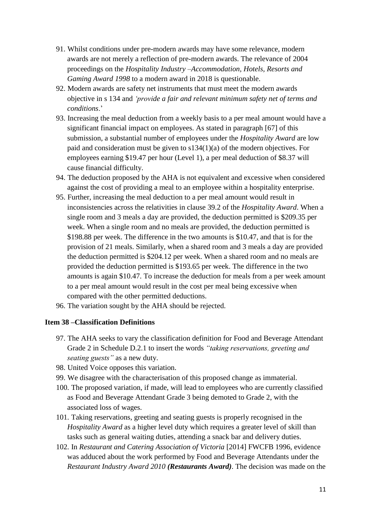- 91. Whilst conditions under pre-modern awards may have some relevance, modern awards are not merely a reflection of pre-modern awards. The relevance of 2004 proceedings on the *Hospitality Industry –Accommodation, Hotels, Resorts and Gaming Award 1998* to a modern award in 2018 is questionable.
- 92. Modern awards are safety net instruments that must meet the modern awards objective in s 134 and *'provide a fair and relevant minimum safety net of terms and conditions*.'
- 93. Increasing the meal deduction from a weekly basis to a per meal amount would have a significant financial impact on employees. As stated in paragraph [67] of this submission, a substantial number of employees under the *Hospitality Award* are low paid and consideration must be given to s134(1)(a) of the modern objectives. For employees earning \$19.47 per hour (Level 1), a per meal deduction of \$8.37 will cause financial difficulty.
- 94. The deduction proposed by the AHA is not equivalent and excessive when considered against the cost of providing a meal to an employee within a hospitality enterprise.
- 95. Further, increasing the meal deduction to a per meal amount would result in inconsistencies across the relativities in clause 39.2 of the *Hospitality Award*. When a single room and 3 meals a day are provided, the deduction permitted is \$209.35 per week. When a single room and no meals are provided, the deduction permitted is \$198.88 per week. The difference in the two amounts is \$10.47, and that is for the provision of 21 meals. Similarly, when a shared room and 3 meals a day are provided the deduction permitted is \$204.12 per week. When a shared room and no meals are provided the deduction permitted is \$193.65 per week. The difference in the two amounts is again \$10.47. To increase the deduction for meals from a per week amount to a per meal amount would result in the cost per meal being excessive when compared with the other permitted deductions.
- 96. The variation sought by the AHA should be rejected.

#### **Item 38 –Classification Definitions**

- 97. The AHA seeks to vary the classification definition for Food and Beverage Attendant Grade 2 in Schedule D.2.1 to insert the words *"taking reservations, greeting and seating guests"* as a new duty.
- 98. United Voice opposes this variation.
- 99. We disagree with the characterisation of this proposed change as immaterial.
- 100. The proposed variation, if made, will lead to employees who are currently classified as Food and Beverage Attendant Grade 3 being demoted to Grade 2, with the associated loss of wages.
- 101. Taking reservations, greeting and seating guests is properly recognised in the *Hospitality Award* as a higher level duty which requires a greater level of skill than tasks such as general waiting duties, attending a snack bar and delivery duties.
- 102. In *Restaurant and Catering Association of Victoria* [2014] FWCFB 1996, evidence was adduced about the work performed by Food and Beverage Attendants under the *Restaurant Industry Award 2010 (Restaurants Award)*. The decision was made on the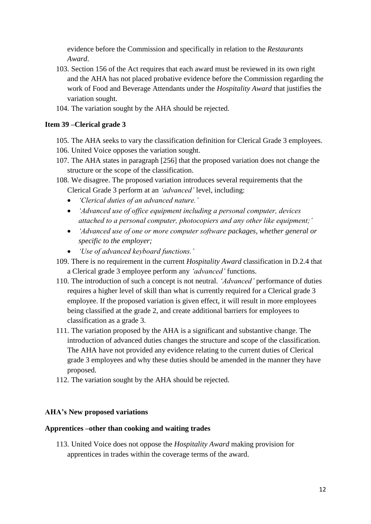evidence before the Commission and specifically in relation to the *Restaurants Award*.

- 103. Section 156 of the Act requires that each award must be reviewed in its own right and the AHA has not placed probative evidence before the Commission regarding the work of Food and Beverage Attendants under the *Hospitality Award* that justifies the variation sought.
- 104. The variation sought by the AHA should be rejected.

### **Item 39 –Clerical grade 3**

- 105. The AHA seeks to vary the classification definition for Clerical Grade 3 employees.
- 106. United Voice opposes the variation sought.
- 107. The AHA states in paragraph [256] that the proposed variation does not change the structure or the scope of the classification.
- 108. We disagree. The proposed variation introduces several requirements that the Clerical Grade 3 perform at an *'advanced'* level, including:
	- *'Clerical duties of an advanced nature.'*
	- *'Advanced use of office equipment including a personal computer, devices attached to a personal computer, photocopiers and any other like equipment;'*
	- *'Advanced use of one or more computer software packages, whether general or specific to the employer;*
	- *'Use of advanced keyboard functions.'*
- 109. There is no requirement in the current *Hospitality Award* classification in D.2.4 that a Clerical grade 3 employee perform any *'advanced'* functions.
- 110. The introduction of such a concept is not neutral. *'Advanced'* performance of duties requires a higher level of skill than what is currently required for a Clerical grade 3 employee. If the proposed variation is given effect, it will result in more employees being classified at the grade 2, and create additional barriers for employees to classification as a grade 3.
- 111. The variation proposed by the AHA is a significant and substantive change. The introduction of advanced duties changes the structure and scope of the classification. The AHA have not provided any evidence relating to the current duties of Clerical grade 3 employees and why these duties should be amended in the manner they have proposed.
- 112. The variation sought by the AHA should be rejected.

#### **AHA's New proposed variations**

#### **Apprentices –other than cooking and waiting trades**

113. United Voice does not oppose the *Hospitality Award* making provision for apprentices in trades within the coverage terms of the award.